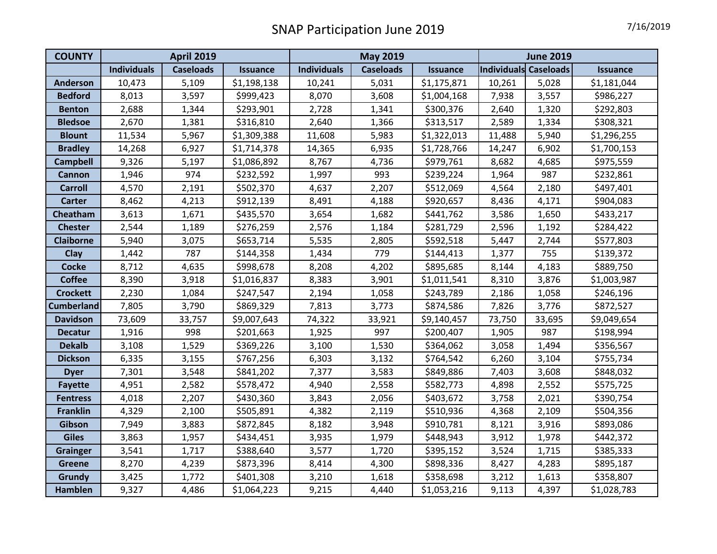| <b>COUNTY</b>     | <b>April 2019</b>  |                  |                 | <b>May 2019</b>    |                  |                 | <b>June 2019</b>      |        |             |
|-------------------|--------------------|------------------|-----------------|--------------------|------------------|-----------------|-----------------------|--------|-------------|
|                   | <b>Individuals</b> | <b>Caseloads</b> | <b>Issuance</b> | <b>Individuals</b> | <b>Caseloads</b> | <b>Issuance</b> | Individuals Caseloads |        | Issuance    |
| <b>Anderson</b>   | 10,473             | 5,109            | \$1,198,138     | 10,241             | 5,031            | \$1,175,871     | 10,261                | 5,028  | \$1,181,044 |
| <b>Bedford</b>    | 8,013              | 3,597            | \$999,423       | 8,070              | 3,608            | \$1,004,168     | 7,938                 | 3,557  | \$986,227   |
| <b>Benton</b>     | 2,688              | 1,344            | \$293,901       | 2,728              | 1,341            | \$300,376       | 2,640                 | 1,320  | \$292,803   |
| <b>Bledsoe</b>    | 2,670              | 1,381            | \$316,810       | 2,640              | 1,366            | \$313,517       | 2,589                 | 1,334  | \$308,321   |
| <b>Blount</b>     | 11,534             | 5,967            | \$1,309,388     | 11,608             | 5,983            | \$1,322,013     | 11,488                | 5,940  | \$1,296,255 |
| <b>Bradley</b>    | 14,268             | 6,927            | \$1,714,378     | 14,365             | 6,935            | \$1,728,766     | 14,247                | 6,902  | \$1,700,153 |
| <b>Campbell</b>   | 9,326              | 5,197            | \$1,086,892     | 8,767              | 4,736            | \$979,761       | 8,682                 | 4,685  | \$975,559   |
| Cannon            | 1,946              | 974              | \$232,592       | 1,997              | 993              | \$239,224       | 1,964                 | 987    | \$232,861   |
| <b>Carroll</b>    | 4,570              | 2,191            | \$502,370       | 4,637              | 2,207            | \$512,069       | 4,564                 | 2,180  | \$497,401   |
| <b>Carter</b>     | 8,462              | 4,213            | \$912,139       | 8,491              | 4,188            | \$920,657       | 8,436                 | 4,171  | \$904,083   |
| Cheatham          | 3,613              | 1,671            | \$435,570       | 3,654              | 1,682            | \$441,762       | 3,586                 | 1,650  | \$433,217   |
| <b>Chester</b>    | 2,544              | 1,189            | \$276,259       | 2,576              | 1,184            | \$281,729       | 2,596                 | 1,192  | \$284,422   |
| <b>Claiborne</b>  | 5,940              | 3,075            | \$653,714       | 5,535              | 2,805            | \$592,518       | 5,447                 | 2,744  | \$577,803   |
| <b>Clay</b>       | 1,442              | 787              | \$144,358       | 1,434              | 779              | \$144,413       | 1,377                 | 755    | \$139,372   |
| <b>Cocke</b>      | 8,712              | 4,635            | \$998,678       | 8,208              | 4,202            | \$895,685       | 8,144                 | 4,183  | \$889,750   |
| <b>Coffee</b>     | 8,390              | 3,918            | \$1,016,837     | 8,383              | 3,901            | \$1,011,541     | 8,310                 | 3,876  | \$1,003,987 |
| <b>Crockett</b>   | 2,230              | 1,084            | \$247,547       | 2,194              | 1,058            | \$243,789       | 2,186                 | 1,058  | \$246,196   |
| <b>Cumberland</b> | 7,805              | 3,790            | \$869,329       | 7,813              | 3,773            | \$874,586       | 7,826                 | 3,776  | \$872,527   |
| <b>Davidson</b>   | 73,609             | 33,757           | \$9,007,643     | 74,322             | 33,921           | \$9,140,457     | 73,750                | 33,695 | \$9,049,654 |
| <b>Decatur</b>    | 1,916              | 998              | \$201,663       | 1,925              | 997              | \$200,407       | 1,905                 | 987    | \$198,994   |
| <b>Dekalb</b>     | 3,108              | 1,529            | \$369,226       | 3,100              | 1,530            | \$364,062       | 3,058                 | 1,494  | \$356,567   |
| <b>Dickson</b>    | 6,335              | 3,155            | \$767,256       | 6,303              | 3,132            | \$764,542       | 6,260                 | 3,104  | \$755,734   |
| <b>Dyer</b>       | 7,301              | 3,548            | \$841,202       | 7,377              | 3,583            | \$849,886       | 7,403                 | 3,608  | \$848,032   |
| <b>Fayette</b>    | 4,951              | 2,582            | \$578,472       | 4,940              | 2,558            | \$582,773       | 4,898                 | 2,552  | \$575,725   |
| <b>Fentress</b>   | 4,018              | 2,207            | \$430,360       | 3,843              | 2,056            | \$403,672       | 3,758                 | 2,021  | \$390,754   |
| <b>Franklin</b>   | 4,329              | 2,100            | \$505,891       | 4,382              | 2,119            | \$510,936       | 4,368                 | 2,109  | \$504,356   |
| Gibson            | 7,949              | 3,883            | \$872,845       | 8,182              | 3,948            | \$910,781       | 8,121                 | 3,916  | \$893,086   |
| <b>Giles</b>      | 3,863              | 1,957            | \$434,451       | 3,935              | 1,979            | \$448,943       | 3,912                 | 1,978  | \$442,372   |
| <b>Grainger</b>   | 3,541              | 1,717            | \$388,640       | 3,577              | 1,720            | \$395,152       | 3,524                 | 1,715  | \$385,333   |
| Greene            | 8,270              | 4,239            | \$873,396       | 8,414              | 4,300            | \$898,336       | 8,427                 | 4,283  | \$895,187   |
| Grundy            | 3,425              | 1,772            | \$401,308       | 3,210              | 1,618            | \$358,698       | 3,212                 | 1,613  | \$358,807   |
| <b>Hamblen</b>    | 9,327              | 4,486            | \$1,064,223     | 9,215              | 4,440            | \$1,053,216     | 9,113                 | 4,397  | \$1,028,783 |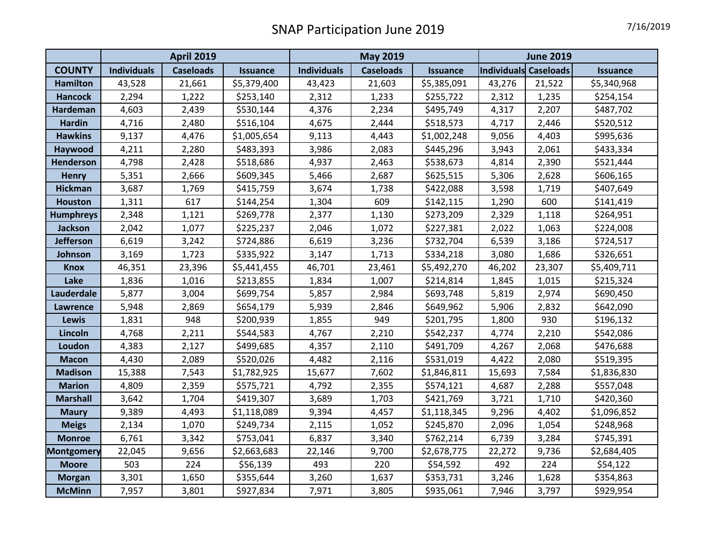|                  | <b>April 2019</b>  |                  |                 | <b>May 2019</b>    |                  |                 | <b>June 2019</b>      |        |                 |
|------------------|--------------------|------------------|-----------------|--------------------|------------------|-----------------|-----------------------|--------|-----------------|
| <b>COUNTY</b>    | <b>Individuals</b> | <b>Caseloads</b> | <b>Issuance</b> | <b>Individuals</b> | <b>Caseloads</b> | <b>Issuance</b> | Individuals Caseloads |        | <b>Issuance</b> |
| <b>Hamilton</b>  | 43,528             | 21,661           | \$5,379,400     | 43,423             | 21,603           | \$5,385,091     | 43,276                | 21,522 | \$5,340,968     |
| <b>Hancock</b>   | 2,294              | 1,222            | \$253,140       | 2,312              | 1,233            | \$255,722       | 2,312                 | 1,235  | \$254,154       |
| <b>Hardeman</b>  | 4,603              | 2,439            | \$530,144       | 4,376              | 2,234            | \$495,749       | 4,317                 | 2,207  | \$487,702       |
| <b>Hardin</b>    | 4,716              | 2,480            | \$516,104       | 4,675              | 2,444            | \$518,573       | 4,717                 | 2,446  | \$520,512       |
| <b>Hawkins</b>   | 9,137              | 4,476            | \$1,005,654     | 9,113              | 4,443            | \$1,002,248     | 9,056                 | 4,403  | \$995,636       |
| Haywood          | 4,211              | 2,280            | \$483,393       | 3,986              | 2,083            | \$445,296       | 3,943                 | 2,061  | \$433,334       |
| <b>Henderson</b> | 4,798              | 2,428            | \$518,686       | 4,937              | 2,463            | \$538,673       | 4,814                 | 2,390  | \$521,444       |
| <b>Henry</b>     | 5,351              | 2,666            | \$609,345       | 5,466              | 2,687            | \$625,515       | 5,306                 | 2,628  | \$606,165       |
| <b>Hickman</b>   | 3,687              | 1,769            | \$415,759       | 3,674              | 1,738            | \$422,088       | 3,598                 | 1,719  | \$407,649       |
| <b>Houston</b>   | 1,311              | 617              | \$144,254       | 1,304              | 609              | \$142,115       | 1,290                 | 600    | \$141,419       |
| <b>Humphreys</b> | 2,348              | 1,121            | \$269,778       | 2,377              | 1,130            | \$273,209       | 2,329                 | 1,118  | \$264,951       |
| <b>Jackson</b>   | 2,042              | 1,077            | \$225,237       | 2,046              | 1,072            | \$227,381       | 2,022                 | 1,063  | \$224,008       |
| <b>Jefferson</b> | 6,619              | 3,242            | \$724,886       | 6,619              | 3,236            | \$732,704       | 6,539                 | 3,186  | \$724,517       |
| Johnson          | 3,169              | 1,723            | \$335,922       | 3,147              | 1,713            | \$334,218       | 3,080                 | 1,686  | \$326,651       |
| <b>Knox</b>      | 46,351             | 23,396           | \$5,441,455     | 46,701             | 23,461           | \$5,492,270     | 46,202                | 23,307 | \$5,409,711     |
| Lake             | 1,836              | 1,016            | \$213,855       | 1,834              | 1,007            | \$214,814       | 1,845                 | 1,015  | \$215,324       |
| Lauderdale       | 5,877              | 3,004            | \$699,754       | 5,857              | 2,984            | \$693,748       | 5,819                 | 2,974  | \$690,450       |
| <b>Lawrence</b>  | 5,948              | 2,869            | \$654,179       | 5,939              | 2,846            | \$649,962       | 5,906                 | 2,832  | \$642,090       |
| <b>Lewis</b>     | 1,831              | 948              | \$200,939       | 1,855              | 949              | \$201,795       | 1,800                 | 930    | \$196,132       |
| Lincoln          | 4,768              | 2,211            | \$544,583       | 4,767              | 2,210            | \$542,237       | 4,774                 | 2,210  | \$542,086       |
| Loudon           | 4,383              | 2,127            | \$499,685       | 4,357              | 2,110            | \$491,709       | 4,267                 | 2,068  | \$476,688       |
| <b>Macon</b>     | 4,430              | 2,089            | \$520,026       | 4,482              | 2,116            | \$531,019       | 4,422                 | 2,080  | \$519,395       |
| <b>Madison</b>   | 15,388             | 7,543            | \$1,782,925     | 15,677             | 7,602            | \$1,846,811     | 15,693                | 7,584  | \$1,836,830     |
| <b>Marion</b>    | 4,809              | 2,359            | \$575,721       | 4,792              | 2,355            | \$574,121       | 4,687                 | 2,288  | \$557,048       |
| <b>Marshall</b>  | 3,642              | 1,704            | \$419,307       | 3,689              | 1,703            | \$421,769       | 3,721                 | 1,710  | \$420,360       |
| <b>Maury</b>     | 9,389              | 4,493            | \$1,118,089     | 9,394              | 4,457            | \$1,118,345     | 9,296                 | 4,402  | \$1,096,852     |
| <b>Meigs</b>     | 2,134              | 1,070            | \$249,734       | 2,115              | 1,052            | \$245,870       | 2,096                 | 1,054  | \$248,968       |
| <b>Monroe</b>    | 6,761              | 3,342            | \$753,041       | 6,837              | 3,340            | \$762,214       | 6,739                 | 3,284  | \$745,391       |
| Montgomery       | 22,045             | 9,656            | \$2,663,683     | 22,146             | 9,700            | \$2,678,775     | 22,272                | 9,736  | \$2,684,405     |
| <b>Moore</b>     | 503                | 224              | \$56,139        | 493                | 220              | \$54,592        | 492                   | 224    | \$54,122        |
| <b>Morgan</b>    | 3,301              | 1,650            | \$355,644       | 3,260              | 1,637            | \$353,731       | 3,246                 | 1,628  | \$354,863       |
| <b>McMinn</b>    | 7,957              | 3,801            | \$927,834       | 7,971              | 3,805            | \$935,061       | 7,946                 | 3,797  | \$929,954       |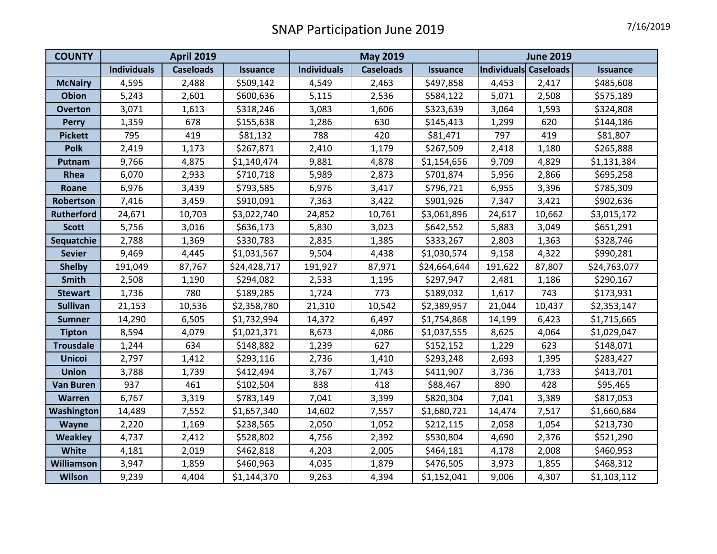| <b>COUNTY</b>     | <b>April 2019</b>  |                  |                 | <b>May 2019</b>    |                  |                 | <b>June 2019</b>      |        |                 |
|-------------------|--------------------|------------------|-----------------|--------------------|------------------|-----------------|-----------------------|--------|-----------------|
|                   | <b>Individuals</b> | <b>Caseloads</b> | <b>Issuance</b> | <b>Individuals</b> | <b>Caseloads</b> | <b>Issuance</b> | Individuals Caseloads |        | <b>Issuance</b> |
| <b>McNairy</b>    | 4,595              | 2,488            | \$509,142       | 4,549              | 2,463            | \$497,858       | 4,453                 | 2,417  | \$485,608       |
| <b>Obion</b>      | 5,243              | 2,601            | \$600,636       | 5,115              | 2,536            | \$584,122       | 5,071                 | 2,508  | \$575,189       |
| <b>Overton</b>    | 3,071              | 1,613            | \$318,246       | 3,083              | 1,606            | \$323,639       | 3,064                 | 1,593  | \$324,808       |
| <b>Perry</b>      | 1,359              | 678              | \$155,638       | 1,286              | 630              | \$145,413       | 1,299                 | 620    | \$144,186       |
| <b>Pickett</b>    | 795                | 419              | \$81,132        | 788                | 420              | \$81,471        | 797                   | 419    | \$81,807        |
| <b>Polk</b>       | 2,419              | 1,173            | \$267,871       | 2,410              | 1,179            | \$267,509       | 2,418                 | 1,180  | \$265,888       |
| Putnam            | 9,766              | 4,875            | \$1,140,474     | 9,881              | 4,878            | \$1,154,656     | 9,709                 | 4,829  | \$1,131,384     |
| Rhea              | 6,070              | 2,933            | \$710,718       | 5,989              | 2,873            | \$701,874       | 5,956                 | 2,866  | \$695,258       |
| Roane             | 6,976              | 3,439            | \$793,585       | 6,976              | 3,417            | \$796,721       | 6,955                 | 3,396  | \$785,309       |
| Robertson         | 7,416              | 3,459            | \$910,091       | 7,363              | 3,422            | \$901,926       | 7,347                 | 3,421  | \$902,636       |
| <b>Rutherford</b> | 24,671             | 10,703           | \$3,022,740     | 24,852             | 10,761           | \$3,061,896     | 24,617                | 10,662 | \$3,015,172     |
| <b>Scott</b>      | 5,756              | 3,016            | \$636,173       | 5,830              | 3,023            | \$642,552       | 5,883                 | 3,049  | \$651,291       |
| Sequatchie        | 2,788              | 1,369            | \$330,783       | 2,835              | 1,385            | \$333,267       | 2,803                 | 1,363  | \$328,746       |
| <b>Sevier</b>     | 9,469              | 4,445            | \$1,031,567     | 9,504              | 4,438            | \$1,030,574     | 9,158                 | 4,322  | \$990,281       |
| <b>Shelby</b>     | 191,049            | 87,767           | \$24,428,717    | 191,927            | 87,971           | \$24,664,644    | 191,622               | 87,807 | \$24,763,077    |
| Smith             | 2,508              | 1,190            | \$294,082       | 2,533              | 1,195            | \$297,947       | 2,481                 | 1,186  | \$290,167       |
| <b>Stewart</b>    | 1,736              | 780              | \$189,285       | 1,724              | 773              | \$189,032       | 1,617                 | 743    | \$173,931       |
| <b>Sullivan</b>   | 21,153             | 10,536           | \$2,358,780     | 21,310             | 10,542           | \$2,389,957     | 21,044                | 10,437 | \$2,353,147     |
| <b>Sumner</b>     | 14,290             | 6,505            | \$1,732,994     | 14,372             | 6,497            | \$1,754,868     | 14,199                | 6,423  | \$1,715,665     |
| <b>Tipton</b>     | 8,594              | 4,079            | \$1,021,371     | 8,673              | 4,086            | \$1,037,555     | 8,625                 | 4,064  | \$1,029,047     |
| <b>Trousdale</b>  | 1,244              | 634              | \$148,882       | 1,239              | 627              | \$152,152       | 1,229                 | 623    | \$148,071       |
| <b>Unicoi</b>     | 2,797              | 1,412            | \$293,116       | 2,736              | 1,410            | \$293,248       | 2,693                 | 1,395  | \$283,427       |
| <b>Union</b>      | 3,788              | 1,739            | \$412,494       | 3,767              | 1,743            | \$411,907       | 3,736                 | 1,733  | \$413,701       |
| <b>Van Buren</b>  | 937                | 461              | \$102,504       | 838                | 418              | \$88,467        | 890                   | 428    | \$95,465        |
| Warren            | 6,767              | 3,319            | \$783,149       | 7,041              | 3,399            | \$820,304       | 7,041                 | 3,389  | \$817,053       |
| <b>Washington</b> | 14,489             | 7,552            | \$1,657,340     | 14,602             | 7,557            | \$1,680,721     | 14,474                | 7,517  | \$1,660,684     |
| Wayne             | 2,220              | 1,169            | \$238,565       | 2,050              | 1,052            | \$212,115       | 2,058                 | 1,054  | \$213,730       |
| <b>Weakley</b>    | 4,737              | 2,412            | \$528,802       | 4,756              | 2,392            | \$530,804       | 4,690                 | 2,376  | \$521,290       |
| White             | 4,181              | 2,019            | \$462,818       | 4,203              | 2,005            | \$464,181       | 4,178                 | 2,008  | \$460,953       |
| <b>Williamson</b> | 3,947              | 1,859            | \$460,963       | 4,035              | 1,879            | \$476,505       | 3,973                 | 1,855  | \$468,312       |
| <b>Wilson</b>     | 9,239              | 4,404            | \$1,144,370     | 9,263              | 4,394            | \$1,152,041     | 9,006                 | 4,307  | \$1,103,112     |